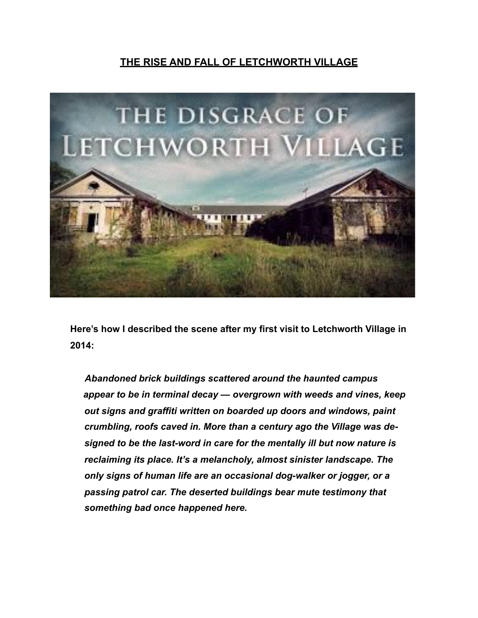## **THE RISE AND FALL OF LETCHWORTH VILLAGE**



**Here's how I described the scene after my first visit to Letchworth Village in 2014:** 

 *Abandoned brick buildings scattered around the haunted campus appear to be in terminal decay — overgrown with weeds and vines, keep out signs and graffiti written on boarded up doors and windows, paint crumbling, roofs caved in. More than a century ago the Village was designed to be the last-word in care for the mentally ill but now nature is reclaiming its place. It's a melancholy, almost sinister landscape. The only signs of human life are an occasional dog-walker or jogger, or a passing patrol car. The deserted buildings bear mute testimony that something bad once happened here.*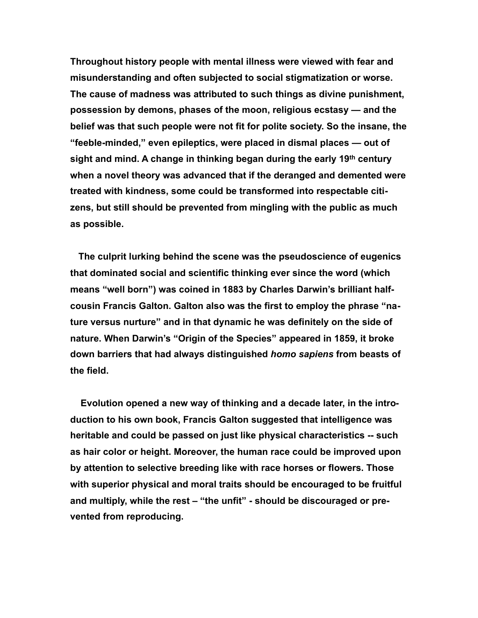**Throughout history people with mental illness were viewed with fear and misunderstanding and often subjected to social stigmatization or worse. The cause of madness was attributed to such things as divine punishment, possession by demons, phases of the moon, religious ecstasy — and the belief was that such people were not fit for polite society. So the insane, the "feeble-minded," even epileptics, were placed in dismal places — out of sight and mind. A change in thinking began during the early 19th century when a novel theory was advanced that if the deranged and demented were treated with kindness, some could be transformed into respectable citizens, but still should be prevented from mingling with the public as much as possible.** 

 **The culprit lurking behind the scene was the pseudoscience of eugenics that dominated social and scientific thinking ever since the word (which means "well born") was coined in 1883 by Charles Darwin's brilliant halfcousin Francis Galton. Galton also was the first to employ the phrase "nature versus nurture" and in that dynamic he was definitely on the side of nature. When Darwin's "Origin of the Species" appeared in 1859, it broke down barriers that had always distinguished** *homo sapiens* **from beasts of the field.** 

 **Evolution opened a new way of thinking and a decade later, in the introduction to his own book, Francis Galton suggested that intelligence was heritable and could be passed on just like physical characteristics -- such as hair color or height. Moreover, the human race could be improved upon by attention to selective breeding like with race horses or flowers. Those with superior physical and moral traits should be encouraged to be fruitful and multiply, while the rest – "the unfit" - should be discouraged or prevented from reproducing.**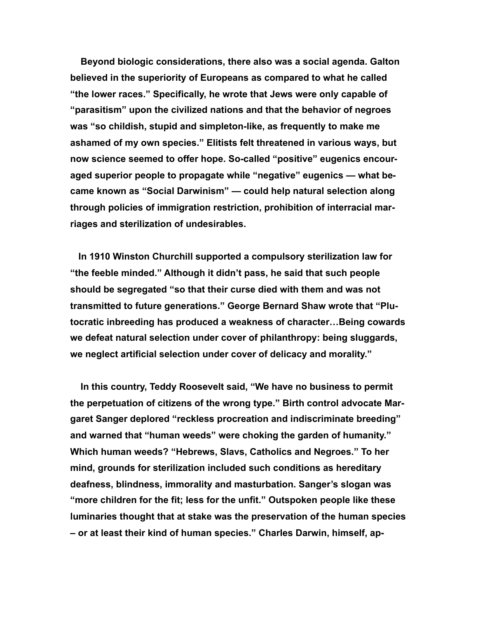**Beyond biologic considerations, there also was a social agenda. Galton believed in the superiority of Europeans as compared to what he called "the lower races." Specifically, he wrote that Jews were only capable of "parasitism" upon the civilized nations and that the behavior of negroes was "so childish, stupid and simpleton-like, as frequently to make me ashamed of my own species." Elitists felt threatened in various ways, but now science seemed to offer hope. So-called "positive" eugenics encouraged superior people to propagate while "negative" eugenics — what became known as "Social Darwinism" — could help natural selection along through policies of immigration restriction, prohibition of interracial marriages and sterilization of undesirables.** 

 **In 1910 Winston Churchill supported a compulsory sterilization law for "the feeble minded." Although it didn't pass, he said that such people should be segregated "so that their curse died with them and was not transmitted to future generations." George Bernard Shaw wrote that "Plutocratic inbreeding has produced a weakness of character…Being cowards we defeat natural selection under cover of philanthropy: being sluggards, we neglect artificial selection under cover of delicacy and morality."** 

 **In this country, Teddy Roosevelt said, "We have no business to permit the perpetuation of citizens of the wrong type." Birth control advocate Margaret Sanger deplored "reckless procreation and indiscriminate breeding" and warned that "human weeds" were choking the garden of humanity." Which human weeds? "Hebrews, Slavs, Catholics and Negroes." To her mind, grounds for sterilization included such conditions as hereditary deafness, blindness, immorality and masturbation. Sanger's slogan was "more children for the fit; less for the unfit." Outspoken people like these luminaries thought that at stake was the preservation of the human species – or at least their kind of human species." Charles Darwin, himself, ap-**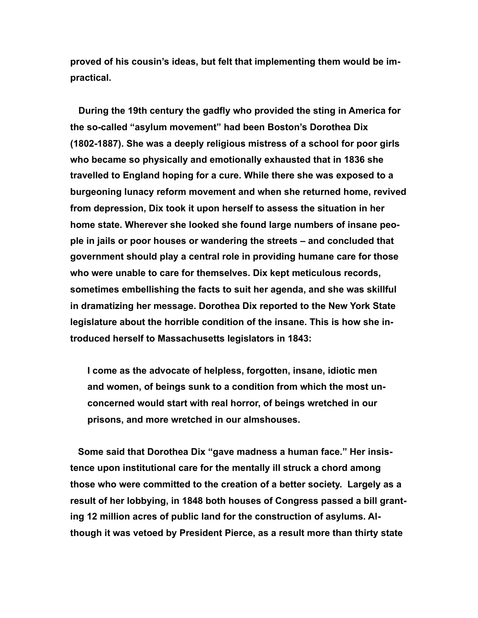**proved of his cousin's ideas, but felt that implementing them would be impractical.**

 **During the 19th century the gadfly who provided the sting in America for the so-called "asylum movement" had been Boston's Dorothea Dix (1802-1887). She was a deeply religious mistress of a school for poor girls who became so physically and emotionally exhausted that in 1836 she travelled to England hoping for a cure. While there she was exposed to a burgeoning lunacy reform movement and when she returned home, revived from depression, Dix took it upon herself to assess the situation in her home state. Wherever she looked she found large numbers of insane people in jails or poor houses or wandering the streets – and concluded that government should play a central role in providing humane care for those who were unable to care for themselves. Dix kept meticulous records, sometimes embellishing the facts to suit her agenda, and she was skillful in dramatizing her message. Dorothea Dix reported to the New York State legislature about the horrible condition of the insane. This is how she introduced herself to Massachusetts legislators in 1843:** 

**I come as the advocate of helpless, forgotten, insane, idiotic men and women, of beings sunk to a condition from which the most unconcerned would start with real horror, of beings wretched in our prisons, and more wretched in our almshouses.** 

 **Some said that Dorothea Dix "gave madness a human face." Her insistence upon institutional care for the mentally ill struck a chord among those who were committed to the creation of a better society. Largely as a result of her lobbying, in 1848 both houses of Congress passed a bill granting 12 million acres of public land for the construction of asylums. Although it was vetoed by President Pierce, as a result more than thirty state**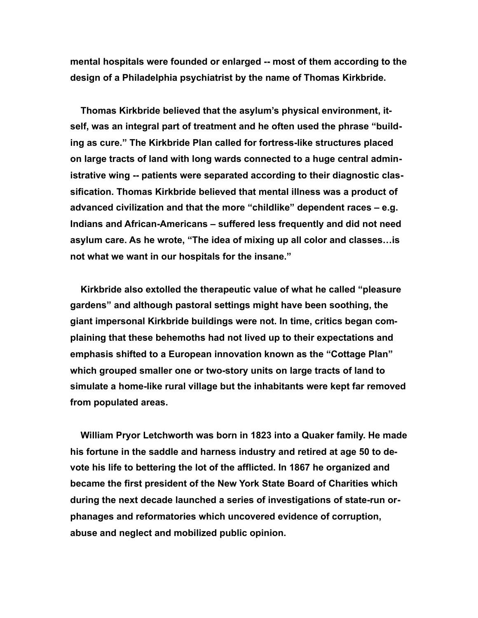**mental hospitals were founded or enlarged -- most of them according to the design of a Philadelphia psychiatrist by the name of Thomas Kirkbride.**

 **Thomas Kirkbride believed that the asylum's physical environment, itself, was an integral part of treatment and he often used the phrase "building as cure." The Kirkbride Plan called for fortress-like structures placed on large tracts of land with long wards connected to a huge central administrative wing -- patients were separated according to their diagnostic classification. Thomas Kirkbride believed that mental illness was a product of advanced civilization and that the more "childlike" dependent races – e.g. Indians and African-Americans – suffered less frequently and did not need asylum care. As he wrote, "The idea of mixing up all color and classes…is not what we want in our hospitals for the insane."** 

 **Kirkbride also extolled the therapeutic value of what he called "pleasure gardens" and although pastoral settings might have been soothing, the giant impersonal Kirkbride buildings were not. In time, critics began complaining that these behemoths had not lived up to their expectations and emphasis shifted to a European innovation known as the "Cottage Plan" which grouped smaller one or two-story units on large tracts of land to simulate a home-like rural village but the inhabitants were kept far removed from populated areas.**

 **William Pryor Letchworth was born in 1823 into a Quaker family. He made his fortune in the saddle and harness industry and retired at age 50 to devote his life to bettering the lot of the afflicted. In 1867 he organized and became the first president of the New York State Board of Charities which during the next decade launched a series of investigations of state-run orphanages and reformatories which uncovered evidence of corruption, abuse and neglect and mobilized public opinion.**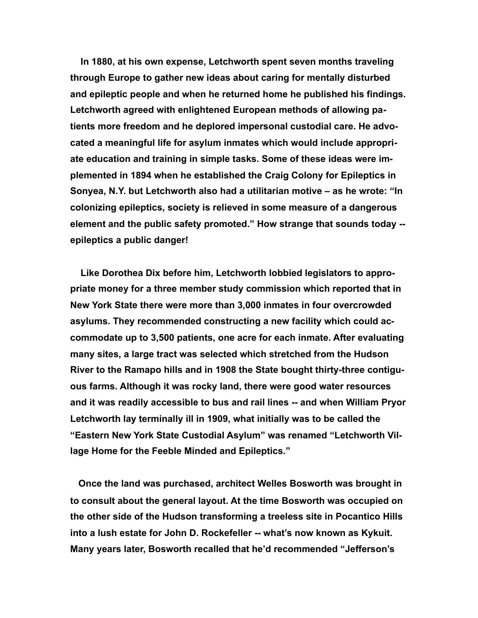**In 1880, at his own expense, Letchworth spent seven months traveling through Europe to gather new ideas about caring for mentally disturbed and epileptic people and when he returned home he published his findings. Letchworth agreed with enlightened European methods of allowing patients more freedom and he deplored impersonal custodial care. He advocated a meaningful life for asylum inmates which would include appropriate education and training in simple tasks. Some of these ideas were implemented in 1894 when he established the Craig Colony for Epileptics in Sonyea, N.Y. but Letchworth also had a utilitarian motive – as he wrote: "In colonizing epileptics, society is relieved in some measure of a dangerous element and the public safety promoted." How strange that sounds today - epileptics a public danger!**

 **Like Dorothea Dix before him, Letchworth lobbied legislators to appropriate money for a three member study commission which reported that in New York State there were more than 3,000 inmates in four overcrowded asylums. They recommended constructing a new facility which could accommodate up to 3,500 patients, one acre for each inmate. After evaluating many sites, a large tract was selected which stretched from the Hudson River to the Ramapo hills and in 1908 the State bought thirty-three contiguous farms. Although it was rocky land, there were good water resources and it was readily accessible to bus and rail lines -- and when William Pryor Letchworth lay terminally ill in 1909, what initially was to be called the "Eastern New York State Custodial Asylum" was renamed "Letchworth Village Home for the Feeble Minded and Epileptics."** 

 **Once the land was purchased, architect Welles Bosworth was brought in to consult about the general layout. At the time Bosworth was occupied on the other side of the Hudson transforming a treeless site in Pocantico Hills into a lush estate for John D. Rockefeller -- what's now known as Kykuit. Many years later, Bosworth recalled that he'd recommended "Jefferson's**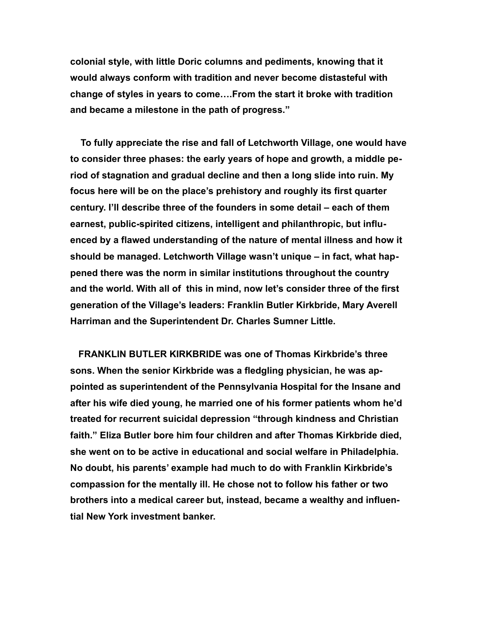**colonial style, with little Doric columns and pediments, knowing that it would always conform with tradition and never become distasteful with change of styles in years to come….From the start it broke with tradition and became a milestone in the path of progress."**

 **To fully appreciate the rise and fall of Letchworth Village, one would have to consider three phases: the early years of hope and growth, a middle period of stagnation and gradual decline and then a long slide into ruin. My focus here will be on the place's prehistory and roughly its first quarter century. I'll describe three of the founders in some detail – each of them earnest, public-spirited citizens, intelligent and philanthropic, but influenced by a flawed understanding of the nature of mental illness and how it should be managed. Letchworth Village wasn't unique – in fact, what happened there was the norm in similar institutions throughout the country and the world. With all of this in mind, now let's consider three of the first generation of the Village's leaders: Franklin Butler Kirkbride, Mary Averell Harriman and the Superintendent Dr. Charles Sumner Little.** 

 **FRANKLIN BUTLER KIRKBRIDE was one of Thomas Kirkbride's three sons. When the senior Kirkbride was a fledgling physician, he was appointed as superintendent of the Pennsylvania Hospital for the Insane and after his wife died young, he married one of his former patients whom he'd treated for recurrent suicidal depression "through kindness and Christian faith." Eliza Butler bore him four children and after Thomas Kirkbride died, she went on to be active in educational and social welfare in Philadelphia. No doubt, his parents' example had much to do with Franklin Kirkbride's compassion for the mentally ill. He chose not to follow his father or two brothers into a medical career but, instead, became a wealthy and influential New York investment banker.**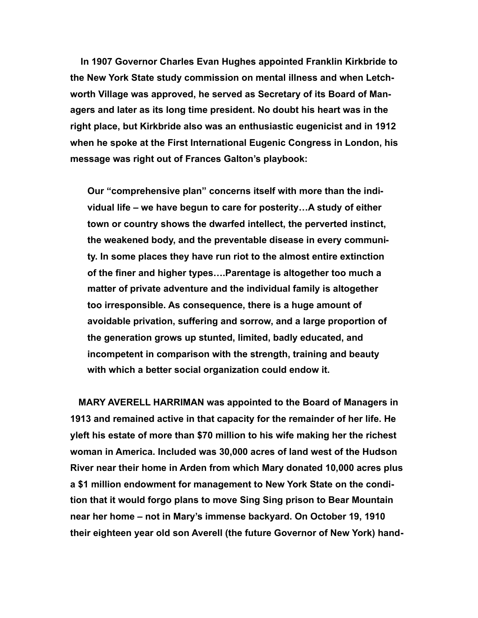**In 1907 Governor Charles Evan Hughes appointed Franklin Kirkbride to the New York State study commission on mental illness and when Letchworth Village was approved, he served as Secretary of its Board of Managers and later as its long time president. No doubt his heart was in the right place, but Kirkbride also was an enthusiastic eugenicist and in 1912 when he spoke at the First International Eugenic Congress in London, his message was right out of Frances Galton's playbook:** 

**Our "comprehensive plan" concerns itself with more than the individual life – we have begun to care for posterity…A study of either town or country shows the dwarfed intellect, the perverted instinct, the weakened body, and the preventable disease in every community. In some places they have run riot to the almost entire extinction of the finer and higher types….Parentage is altogether too much a matter of private adventure and the individual family is altogether too irresponsible. As consequence, there is a huge amount of avoidable privation, suffering and sorrow, and a large proportion of the generation grows up stunted, limited, badly educated, and incompetent in comparison with the strength, training and beauty with which a better social organization could endow it.** 

 **MARY AVERELL HARRIMAN was appointed to the Board of Managers in 1913 and remained active in that capacity for the remainder of her life. He yleft his estate of more than \$70 million to his wife making her the richest woman in America. Included was 30,000 acres of land west of the Hudson River near their home in Arden from which Mary donated 10,000 acres plus a \$1 million endowment for management to New York State on the condition that it would forgo plans to move Sing Sing prison to Bear Mountain near her home – not in Mary's immense backyard. On October 19, 1910 their eighteen year old son Averell (the future Governor of New York) hand-**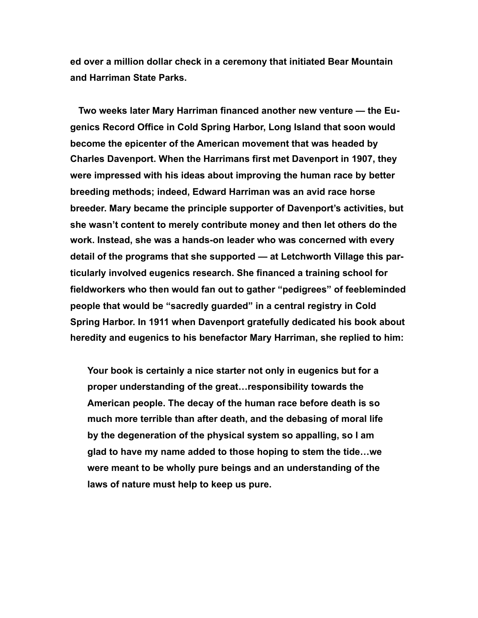**ed over a million dollar check in a ceremony that initiated Bear Mountain and Harriman State Parks.** 

 **Two weeks later Mary Harriman financed another new venture — the Eugenics Record Office in Cold Spring Harbor, Long Island that soon would become the epicenter of the American movement that was headed by Charles Davenport. When the Harrimans first met Davenport in 1907, they were impressed with his ideas about improving the human race by better breeding methods; indeed, Edward Harriman was an avid race horse breeder. Mary became the principle supporter of Davenport's activities, but she wasn't content to merely contribute money and then let others do the work. Instead, she was a hands-on leader who was concerned with every detail of the programs that she supported — at Letchworth Village this particularly involved eugenics research. She financed a training school for fieldworkers who then would fan out to gather "pedigrees" of feebleminded people that would be "sacredly guarded" in a central registry in Cold Spring Harbor. In 1911 when Davenport gratefully dedicated his book about heredity and eugenics to his benefactor Mary Harriman, she replied to him:** 

**Your book is certainly a nice starter not only in eugenics but for a proper understanding of the great…responsibility towards the American people. The decay of the human race before death is so much more terrible than after death, and the debasing of moral life by the degeneration of the physical system so appalling, so I am glad to have my name added to those hoping to stem the tide…we were meant to be wholly pure beings and an understanding of the laws of nature must help to keep us pure.**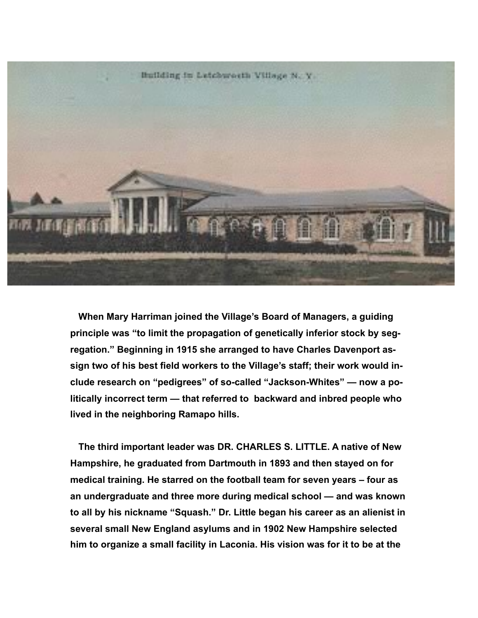

 **When Mary Harriman joined the Village's Board of Managers, a guiding principle was "to limit the propagation of genetically inferior stock by segregation." Beginning in 1915 she arranged to have Charles Davenport assign two of his best field workers to the Village's staff; their work would include research on "pedigrees" of so-called "Jackson-Whites" — now a politically incorrect term — that referred to backward and inbred people who lived in the neighboring Ramapo hills.** 

 **The third important leader was DR. CHARLES S. LITTLE. A native of New Hampshire, he graduated from Dartmouth in 1893 and then stayed on for medical training. He starred on the football team for seven years – four as an undergraduate and three more during medical school — and was known to all by his nickname "Squash." Dr. Little began his career as an alienist in several small New England asylums and in 1902 New Hampshire selected him to organize a small facility in Laconia. His vision was for it to be at the**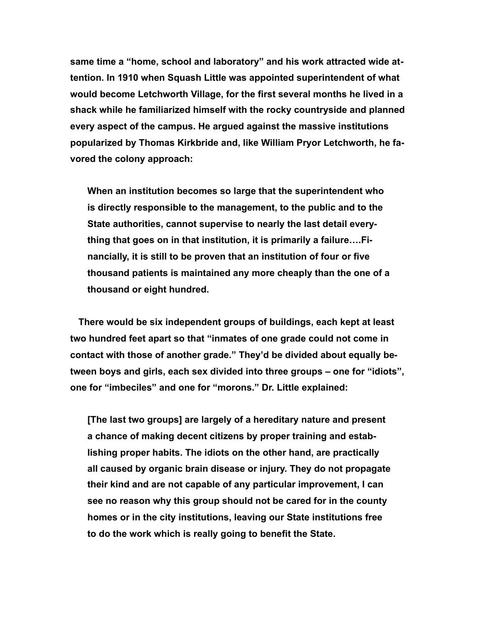**same time a "home, school and laboratory" and his work attracted wide attention. In 1910 when Squash Little was appointed superintendent of what would become Letchworth Village, for the first several months he lived in a shack while he familiarized himself with the rocky countryside and planned every aspect of the campus. He argued against the massive institutions popularized by Thomas Kirkbride and, like William Pryor Letchworth, he favored the colony approach:**

**When an institution becomes so large that the superintendent who is directly responsible to the management, to the public and to the State authorities, cannot supervise to nearly the last detail everything that goes on in that institution, it is primarily a failure….Financially, it is still to be proven that an institution of four or five thousand patients is maintained any more cheaply than the one of a thousand or eight hundred.**

 **There would be six independent groups of buildings, each kept at least two hundred feet apart so that "inmates of one grade could not come in contact with those of another grade." They'd be divided about equally between boys and girls, each sex divided into three groups – one for "idiots", one for "imbeciles" and one for "morons." Dr. Little explained:**

**[The last two groups] are largely of a hereditary nature and present a chance of making decent citizens by proper training and establishing proper habits. The idiots on the other hand, are practically all caused by organic brain disease or injury. They do not propagate their kind and are not capable of any particular improvement, I can see no reason why this group should not be cared for in the county homes or in the city institutions, leaving our State institutions free to do the work which is really going to benefit the State.**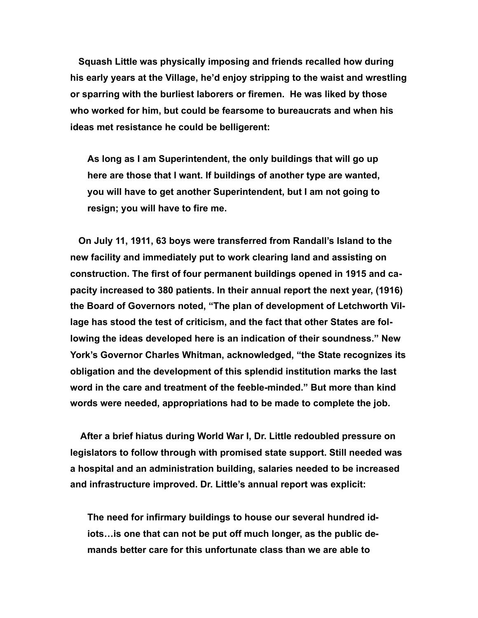**Squash Little was physically imposing and friends recalled how during his early years at the Village, he'd enjoy stripping to the waist and wrestling or sparring with the burliest laborers or firemen. He was liked by those who worked for him, but could be fearsome to bureaucrats and when his ideas met resistance he could be belligerent:** 

**As long as I am Superintendent, the only buildings that will go up here are those that I want. If buildings of another type are wanted, you will have to get another Superintendent, but I am not going to resign; you will have to fire me.** 

 **On July 11, 1911, 63 boys were transferred from Randall's Island to the new facility and immediately put to work clearing land and assisting on construction. The first of four permanent buildings opened in 1915 and capacity increased to 380 patients. In their annual report the next year, (1916) the Board of Governors noted, "The plan of development of Letchworth Village has stood the test of criticism, and the fact that other States are following the ideas developed here is an indication of their soundness." New York's Governor Charles Whitman, acknowledged, "the State recognizes its obligation and the development of this splendid institution marks the last word in the care and treatment of the feeble-minded." But more than kind words were needed, appropriations had to be made to complete the job.** 

 **After a brief hiatus during World War I, Dr. Little redoubled pressure on legislators to follow through with promised state support. Still needed was a hospital and an administration building, salaries needed to be increased and infrastructure improved. Dr. Little's annual report was explicit:** 

**The need for infirmary buildings to house our several hundred idiots…is one that can not be put off much longer, as the public demands better care for this unfortunate class than we are able to**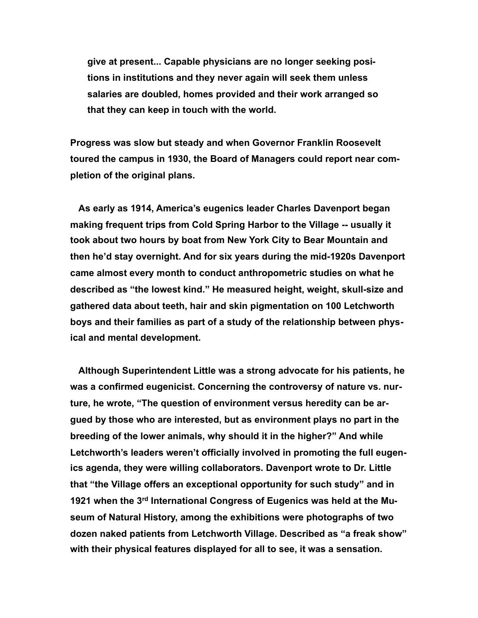**give at present... Capable physicians are no longer seeking positions in institutions and they never again will seek them unless salaries are doubled, homes provided and their work arranged so that they can keep in touch with the world.** 

**Progress was slow but steady and when Governor Franklin Roosevelt toured the campus in 1930, the Board of Managers could report near completion of the original plans.** 

 **As early as 1914, America's eugenics leader Charles Davenport began making frequent trips from Cold Spring Harbor to the Village -- usually it took about two hours by boat from New York City to Bear Mountain and then he'd stay overnight. And for six years during the mid-1920s Davenport came almost every month to conduct anthropometric studies on what he described as "the lowest kind." He measured height, weight, skull-size and gathered data about teeth, hair and skin pigmentation on 100 Letchworth boys and their families as part of a study of the relationship between physical and mental development.** 

 **Although Superintendent Little was a strong advocate for his patients, he was a confirmed eugenicist. Concerning the controversy of nature vs. nurture, he wrote, "The question of environment versus heredity can be argued by those who are interested, but as environment plays no part in the breeding of the lower animals, why should it in the higher?" And while Letchworth's leaders weren't officially involved in promoting the full eugenics agenda, they were willing collaborators. Davenport wrote to Dr. Little that "the Village offers an exceptional opportunity for such study" and in 1921 when the 3rd International Congress of Eugenics was held at the Museum of Natural History, among the exhibitions were photographs of two dozen naked patients from Letchworth Village. Described as "a freak show" with their physical features displayed for all to see, it was a sensation.**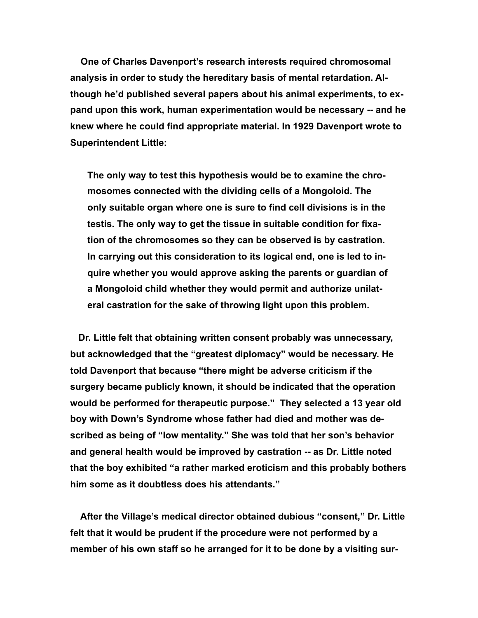**One of Charles Davenport's research interests required chromosomal analysis in order to study the hereditary basis of mental retardation. Although he'd published several papers about his animal experiments, to expand upon this work, human experimentation would be necessary -- and he knew where he could find appropriate material. In 1929 Davenport wrote to Superintendent Little:** 

**The only way to test this hypothesis would be to examine the chromosomes connected with the dividing cells of a Mongoloid. The only suitable organ where one is sure to find cell divisions is in the testis. The only way to get the tissue in suitable condition for fixation of the chromosomes so they can be observed is by castration. In carrying out this consideration to its logical end, one is led to inquire whether you would approve asking the parents or guardian of a Mongoloid child whether they would permit and authorize unilateral castration for the sake of throwing light upon this problem.** 

 **Dr. Little felt that obtaining written consent probably was unnecessary, but acknowledged that the "greatest diplomacy" would be necessary. He told Davenport that because "there might be adverse criticism if the surgery became publicly known, it should be indicated that the operation would be performed for therapeutic purpose." They selected a 13 year old boy with Down's Syndrome whose father had died and mother was described as being of "low mentality." She was told that her son's behavior and general health would be improved by castration -- as Dr. Little noted that the boy exhibited "a rather marked eroticism and this probably bothers him some as it doubtless does his attendants."** 

 **After the Village's medical director obtained dubious "consent," Dr. Little felt that it would be prudent if the procedure were not performed by a member of his own staff so he arranged for it to be done by a visiting sur-**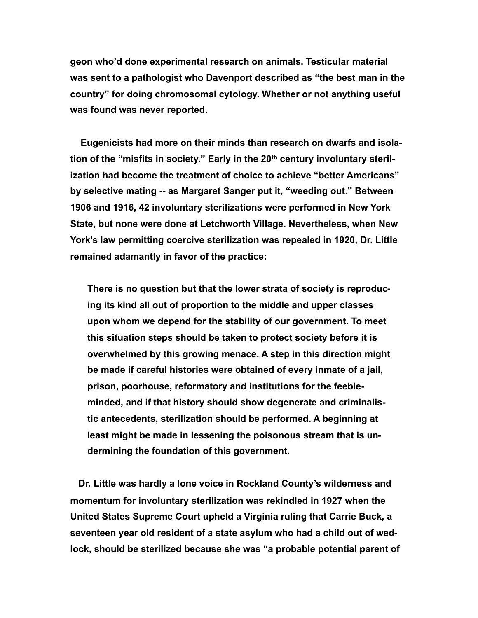**geon who'd done experimental research on animals. Testicular material was sent to a pathologist who Davenport described as "the best man in the country" for doing chromosomal cytology. Whether or not anything useful was found was never reported.** 

 **Eugenicists had more on their minds than research on dwarfs and isola**tion of the "misfits in society." Early in the 20<sup>th</sup> century involuntary steril**ization had become the treatment of choice to achieve "better Americans" by selective mating -- as Margaret Sanger put it, "weeding out." Between 1906 and 1916, 42 involuntary sterilizations were performed in New York State, but none were done at Letchworth Village. Nevertheless, when New York's law permitting coercive sterilization was repealed in 1920, Dr. Little remained adamantly in favor of the practice:** 

**There is no question but that the lower strata of society is reproducing its kind all out of proportion to the middle and upper classes upon whom we depend for the stability of our government. To meet this situation steps should be taken to protect society before it is overwhelmed by this growing menace. A step in this direction might be made if careful histories were obtained of every inmate of a jail, prison, poorhouse, reformatory and institutions for the feebleminded, and if that history should show degenerate and criminalistic antecedents, sterilization should be performed. A beginning at least might be made in lessening the poisonous stream that is undermining the foundation of this government.**

 **Dr. Little was hardly a lone voice in Rockland County's wilderness and momentum for involuntary sterilization was rekindled in 1927 when the United States Supreme Court upheld a Virginia ruling that Carrie Buck, a seventeen year old resident of a state asylum who had a child out of wedlock, should be sterilized because she was "a probable potential parent of**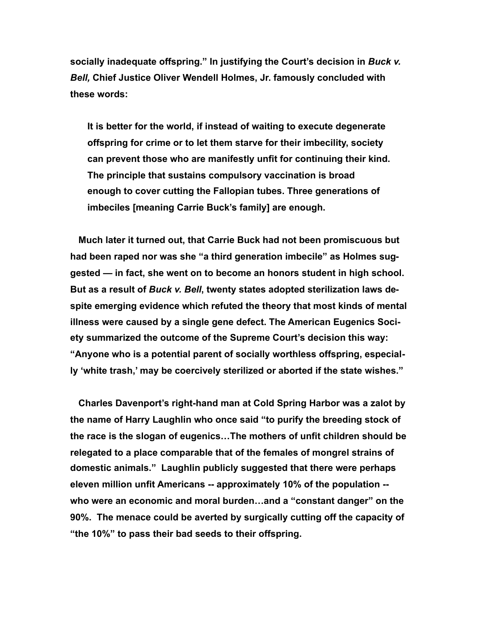**socially inadequate offspring." In justifying the Court's decision in** *Buck v. Bell,* **Chief Justice Oliver Wendell Holmes, Jr. famously concluded with these words:** 

**It is better for the world, if instead of waiting to execute degenerate offspring for crime or to let them starve for their imbecility, society can prevent those who are manifestly unfit for continuing their kind. The principle that sustains compulsory vaccination is broad enough to cover cutting the Fallopian tubes. Three generations of imbeciles [meaning Carrie Buck's family] are enough.** 

 **Much later it turned out, that Carrie Buck had not been promiscuous but had been raped nor was she "a third generation imbecile" as Holmes suggested — in fact, she went on to become an honors student in high school. But as a result of** *Buck v. Bell***, twenty states adopted sterilization laws despite emerging evidence which refuted the theory that most kinds of mental illness were caused by a single gene defect. The American Eugenics Society summarized the outcome of the Supreme Court's decision this way: "Anyone who is a potential parent of socially worthless offspring, especially 'white trash,' may be coercively sterilized or aborted if the state wishes."** 

 **Charles Davenport's right-hand man at Cold Spring Harbor was a zalot by the name of Harry Laughlin who once said "to purify the breeding stock of the race is the slogan of eugenics…The mothers of unfit children should be relegated to a place comparable that of the females of mongrel strains of domestic animals." Laughlin publicly suggested that there were perhaps eleven million unfit Americans -- approximately 10% of the population - who were an economic and moral burden…and a "constant danger" on the 90%. The menace could be averted by surgically cutting off the capacity of "the 10%" to pass their bad seeds to their offspring.**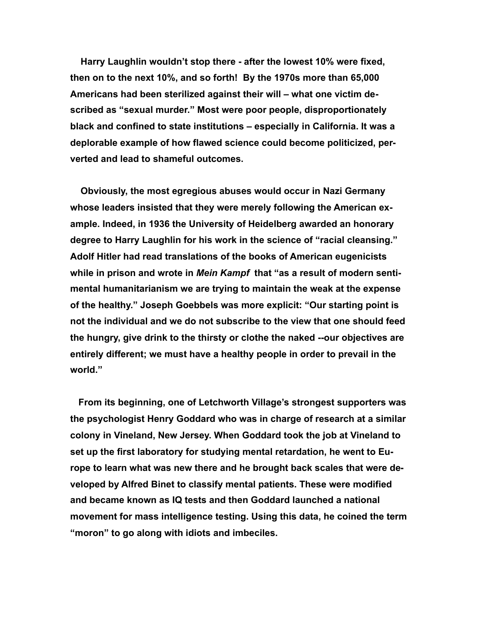**Harry Laughlin wouldn't stop there - after the lowest 10% were fixed, then on to the next 10%, and so forth! By the 1970s more than 65,000 Americans had been sterilized against their will – what one victim described as "sexual murder." Most were poor people, disproportionately black and confined to state institutions – especially in California. It was a deplorable example of how flawed science could become politicized, perverted and lead to shameful outcomes.** 

 **Obviously, the most egregious abuses would occur in Nazi Germany whose leaders insisted that they were merely following the American example. Indeed, in 1936 the University of Heidelberg awarded an honorary degree to Harry Laughlin for his work in the science of "racial cleansing." Adolf Hitler had read translations of the books of American eugenicists while in prison and wrote in** *Mein Kampf* **that "as a result of modern sentimental humanitarianism we are trying to maintain the weak at the expense of the healthy." Joseph Goebbels was more explicit: "Our starting point is not the individual and we do not subscribe to the view that one should feed the hungry, give drink to the thirsty or clothe the naked --our objectives are entirely different; we must have a healthy people in order to prevail in the world."**

 **From its beginning, one of Letchworth Village's strongest supporters was the psychologist Henry Goddard who was in charge of research at a similar colony in Vineland, New Jersey. When Goddard took the job at Vineland to set up the first laboratory for studying mental retardation, he went to Europe to learn what was new there and he brought back scales that were developed by Alfred Binet to classify mental patients. These were modified and became known as IQ tests and then Goddard launched a national movement for mass intelligence testing. Using this data, he coined the term "moron" to go along with idiots and imbeciles.**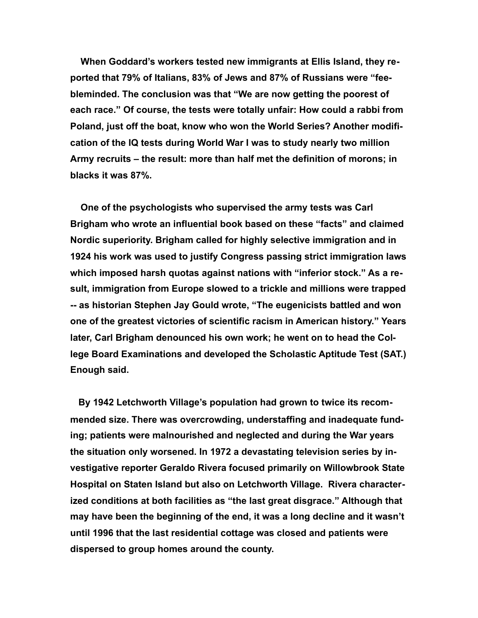**When Goddard's workers tested new immigrants at Ellis Island, they reported that 79% of Italians, 83% of Jews and 87% of Russians were "feebleminded. The conclusion was that "We are now getting the poorest of each race." Of course, the tests were totally unfair: How could a rabbi from Poland, just off the boat, know who won the World Series? Another modification of the IQ tests during World War I was to study nearly two million Army recruits – the result: more than half met the definition of morons; in blacks it was 87%.** 

 **One of the psychologists who supervised the army tests was Carl Brigham who wrote an influential book based on these "facts" and claimed Nordic superiority. Brigham called for highly selective immigration and in 1924 his work was used to justify Congress passing strict immigration laws which imposed harsh quotas against nations with "inferior stock." As a result, immigration from Europe slowed to a trickle and millions were trapped -- as historian Stephen Jay Gould wrote, "The eugenicists battled and won one of the greatest victories of scientific racism in American history." Years later, Carl Brigham denounced his own work; he went on to head the College Board Examinations and developed the Scholastic Aptitude Test (SAT.) Enough said.** 

 **By 1942 Letchworth Village's population had grown to twice its recommended size. There was overcrowding, understaffing and inadequate funding; patients were malnourished and neglected and during the War years the situation only worsened. In 1972 a devastating television series by investigative reporter Geraldo Rivera focused primarily on Willowbrook State Hospital on Staten Island but also on Letchworth Village. Rivera characterized conditions at both facilities as "the last great disgrace." Although that may have been the beginning of the end, it was a long decline and it wasn't until 1996 that the last residential cottage was closed and patients were dispersed to group homes around the county.**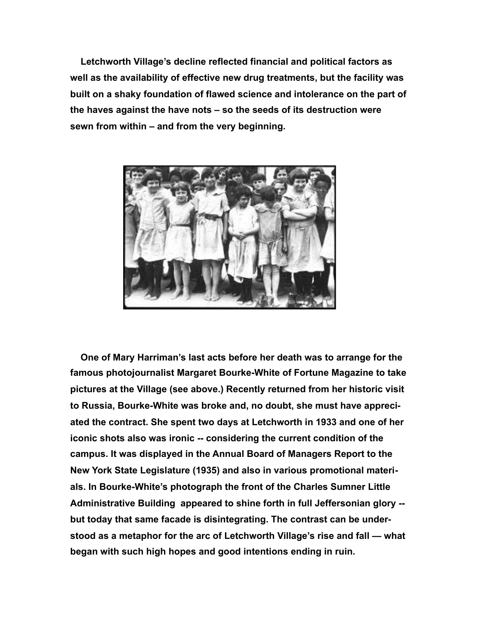**Letchworth Village's decline reflected financial and political factors as well as the availability of effective new drug treatments, but the facility was built on a shaky foundation of flawed science and intolerance on the part of the haves against the have nots – so the seeds of its destruction were sewn from within – and from the very beginning.** 



 **One of Mary Harriman's last acts before her death was to arrange for the famous photojournalist Margaret Bourke-White of Fortune Magazine to take pictures at the Village (see above.) Recently returned from her historic visit to Russia, Bourke-White was broke and, no doubt, she must have appreciated the contract. She spent two days at Letchworth in 1933 and one of her iconic shots also was ironic -- considering the current condition of the campus. It was displayed in the Annual Board of Managers Report to the New York State Legislature (1935) and also in various promotional materials. In Bourke-White's photograph the front of the Charles Sumner Little Administrative Building appeared to shine forth in full Jeffersonian glory - but today that same facade is disintegrating. The contrast can be understood as a metaphor for the arc of Letchworth Village's rise and fall — what began with such high hopes and good intentions ending in ruin.**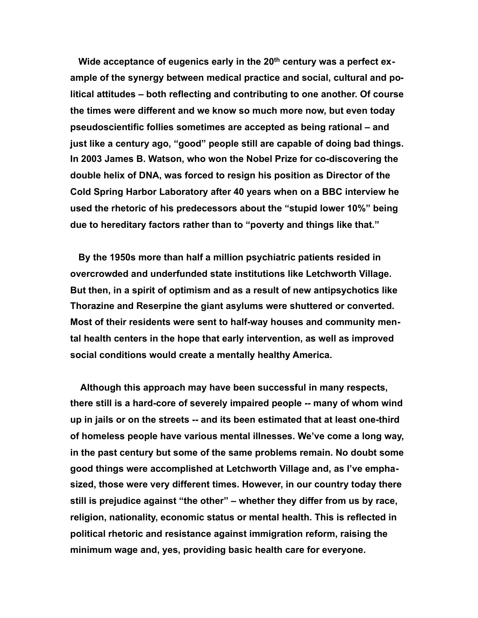Wide acceptance of eugenics early in the 20<sup>th</sup> century was a perfect ex**ample of the synergy between medical practice and social, cultural and political attitudes – both reflecting and contributing to one another. Of course the times were different and we know so much more now, but even today pseudoscientific follies sometimes are accepted as being rational – and just like a century ago, "good" people still are capable of doing bad things. In 2003 James B. Watson, who won the Nobel Prize for co-discovering the double helix of DNA, was forced to resign his position as Director of the Cold Spring Harbor Laboratory after 40 years when on a BBC interview he used the rhetoric of his predecessors about the "stupid lower 10%" being due to hereditary factors rather than to "poverty and things like that."**

 **By the 1950s more than half a million psychiatric patients resided in overcrowded and underfunded state institutions like Letchworth Village. But then, in a spirit of optimism and as a result of new antipsychotics like Thorazine and Reserpine the giant asylums were shuttered or converted. Most of their residents were sent to half-way houses and community mental health centers in the hope that early intervention, as well as improved social conditions would create a mentally healthy America.** 

 **Although this approach may have been successful in many respects, there still is a hard-core of severely impaired people -- many of whom wind up in jails or on the streets -- and its been estimated that at least one-third of homeless people have various mental illnesses. We've come a long way, in the past century but some of the same problems remain. No doubt some good things were accomplished at Letchworth Village and, as I've emphasized, those were very different times. However, in our country today there still is prejudice against "the other" – whether they differ from us by race, religion, nationality, economic status or mental health. This is reflected in political rhetoric and resistance against immigration reform, raising the minimum wage and, yes, providing basic health care for everyone.**